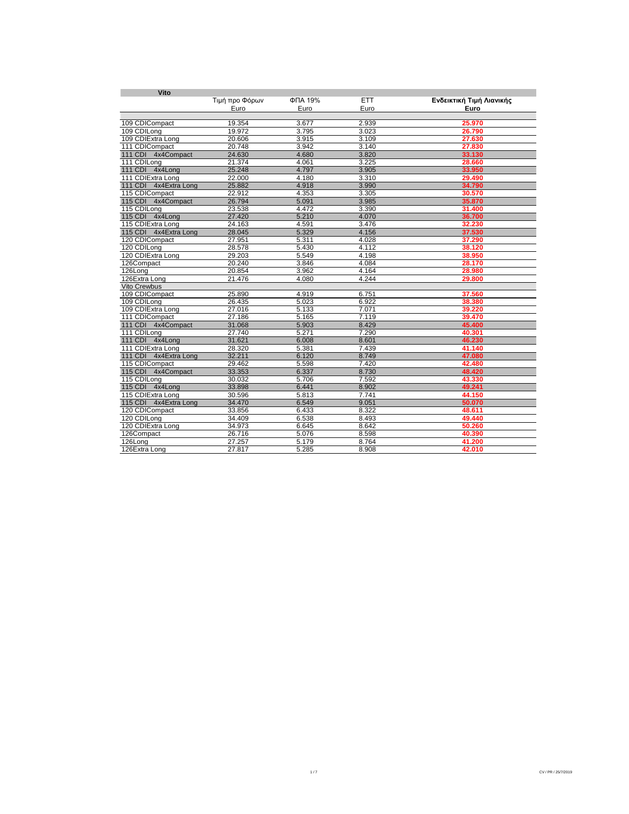| Vito                   |                |         |       |                          |  |  |
|------------------------|----------------|---------|-------|--------------------------|--|--|
|                        | Τιμή προ Φόρων | ФПА 19% | ETT   | Ενδεικτική Τιμή Λιανικής |  |  |
|                        | Euro           | Euro    | Euro  | Euro                     |  |  |
|                        |                |         |       |                          |  |  |
| 109 CDICompact         | 19.354         | 3.677   | 2.939 | 25.970                   |  |  |
| 109 CDILong            | 19.972         | 3.795   | 3.023 | 26.790                   |  |  |
| 109 CDIExtra Long      | 20.606         | 3.915   | 3.109 | 27.630                   |  |  |
| 111 CDICompact         | 20.748         | 3.942   | 3.140 | 27.830                   |  |  |
| 111 CDI 4x4Compact     | 24.630         | 4.680   | 3.820 | 33.130                   |  |  |
| 111 CDILong            | 21.374         | 4.061   | 3.225 | 28.660                   |  |  |
| 111 CDI 4x4Long        | 25.248         | 4.797   | 3.905 | 33.950                   |  |  |
| 111 CDIExtra Long      | 22.000         | 4.180   | 3.310 | 29.490                   |  |  |
| 111 CDI 4x4Extra Long  | 25.882         | 4.918   | 3.990 | 34.790                   |  |  |
| 115 CDICompact         | 22.912         | 4.353   | 3.305 | 30.570                   |  |  |
| 115 CDI 4x4Compact     | 26.794         | 5.091   | 3.985 | 35.870                   |  |  |
| 115 CDILong            | 23.538         | 4.472   | 3.390 | 31.400                   |  |  |
| 115 CDI 4x4Long        | 27.420         | 5.210   | 4.070 | 36.700                   |  |  |
| 115 CDIExtra Long      | 24.163         | 4.591   | 3.476 | 32.230                   |  |  |
| 115 CDI 4x4Extra Long  | 28.045         | 5.329   | 4.156 | 37.530                   |  |  |
| 120 CDICompact         | 27.951         | 5.311   | 4.028 | 37.290                   |  |  |
| 120 CDILong            | 28.578         | 5.430   | 4.112 | 38.120                   |  |  |
| 120 CDIExtra Long      | 29.203         | 5.549   | 4.198 | 38.950                   |  |  |
| 126Compact             | 20.240         | 3.846   | 4.084 | 28.170                   |  |  |
| 126Long                | 20.854         | 3.962   | 4.164 | 28.980                   |  |  |
| 126Extra Long          | 21.476         | 4.080   | 4.244 | 29.800                   |  |  |
| <b>Vito Crewbus</b>    |                |         |       |                          |  |  |
| 109 CDICompact         | 25.890         | 4.919   | 6.751 | 37.560                   |  |  |
| 109 CDILona            | 26.435         | 5.023   | 6.922 | 38.380                   |  |  |
| 109 CDIExtra Long      | 27.016         | 5.133   | 7.071 | 39.220                   |  |  |
| 111 CDICompact         | 27.186         | 5.165   | 7.119 | 39.470                   |  |  |
| 111 CDI 4x4Compact     | 31.068         | 5.903   | 8.429 | 45,400                   |  |  |
| 111 CDILona            | 27.740         | 5.271   | 7.290 | 40.301                   |  |  |
| 111 CDI 4x4Long        | 31.621         | 6.008   | 8.601 | 46.230                   |  |  |
| 111 CDIExtra Long      | 28.320         | 5.381   | 7.439 | 41.140                   |  |  |
| 111 CDI 4x4Extra Long  | 32.211         | 6.120   | 8.749 | 47.080                   |  |  |
| 115 CDICompact         | 29.462         | 5.598   | 7.420 | 42.480                   |  |  |
| 115 CDI 4x4Compact     | 33.353         | 6.337   | 8.730 | 48.420                   |  |  |
| 115 CDILong            | 30.032         | 5.706   | 7.592 | 43.330                   |  |  |
| 115 CDI 4x4Long        | 33.898         | 6.441   | 8.902 | 49.241                   |  |  |
| 115 CDIExtra Long      | 30.596         | 5.813   | 7.741 | 44.150                   |  |  |
| 115 CDI 4x4 Extra Long | 34.470         | 6.549   | 9.051 | 50.070                   |  |  |
| 120 CDICompact         | 33.856         | 6.433   | 8.322 | 48.611                   |  |  |
| 120 CDILong            | 34.409         | 6.538   | 8.493 | 49.440                   |  |  |
| 120 CDIExtra Long      | 34.973         | 6.645   | 8.642 | 50.260                   |  |  |
| 126Compact             | 26.716         | 5.076   | 8.598 | 40.390                   |  |  |
| 126Long                | 27.257         | 5.179   | 8.764 | 41.200                   |  |  |
| 126Extra Long          | 27.817         | 5.285   | 8.908 | 42.010                   |  |  |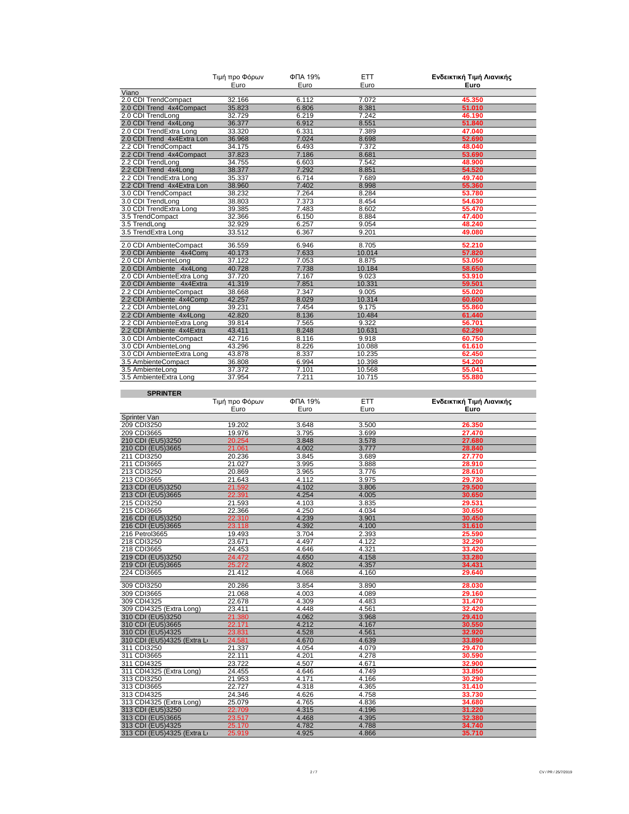|                            | Τιμή προ Φόρων | ФПА 19% | <b>ETT</b> | Ενδεικτική Τιμή Λιανικής |
|----------------------------|----------------|---------|------------|--------------------------|
|                            | Euro           | Euro    | Euro       | Euro                     |
| Viano                      |                |         |            |                          |
| 2.0 CDI TrendCompact       | 32.166         | 6.112   | 7.072      | 45.350                   |
| 2.0 CDI Trend 4x4Compact   | 35.823         | 6.806   | 8.381      | 51.010                   |
| 2.0 CDI TrendLong          | 32.729         | 6.219   | 7.242      | 46.190                   |
| 2.0 CDI Trend 4x4Long      | 36.377         | 6.912   | 8.551      | 51.840                   |
| 2.0 CDI TrendExtra Long    | 33.320         | 6.331   | 7.389      | 47.040                   |
| 2.0 CDI Trend 4x4Extra Lon | 36.968         | 7.024   | 8.698      | 52.690                   |
| 2.2 CDI TrendCompact       | 34.175         | 6.493   | 7.372      | 48.040                   |
| 2.2 CDI Trend 4x4Compact   | 37.823         | 7.186   | 8.681      | 53.690                   |
| 2.2 CDI TrendLong          | 34.755         | 6.603   | 7.542      | 48.900                   |
| 2.2 CDI Trend 4x4Long      | 38.377         | 7.292   | 8.851      | 54.520                   |
| 2.2 CDI TrendExtra Long    | 35.337         | 6.714   | 7.689      | 49.740                   |
| 2.2 CDI Trend 4x4Extra Lon | 38.960         | 7.402   | 8.998      | 55.360                   |
| 3.0 CDI TrendCompact       | 38.232         | 7.264   | 8.284      | 53.780                   |
| 3.0 CDI TrendLong          | 38.803         | 7.373   | 8.454      | 54.630                   |
| 3.0 CDI TrendExtra Long    | 39.385         | 7.483   | 8.602      | 55.470                   |
| 3.5 TrendCompact           | 32.366         | 6.150   | 8.884      | 47.400                   |
| 3.5 TrendLong              | 32.929         | 6.257   | 9.054      | 48.240                   |
| 3.5 TrendExtra Long        | 33.512         | 6.367   | 9.201      | 49.080                   |
| 2.0 CDI AmbienteCompact    | 36.559         | 6.946   | 8.705      | 52.210                   |
| 2.0 CDI Ambiente 4x4Comp   | 40.173         | 7.633   | 10.014     | 57.820                   |
| 2.0 CDI AmbienteLong       | 37.122         | 7.053   | 8.875      | 53.050                   |
| 2.0 CDI Ambiente 4x4Long   | 40.728         | 7.738   | 10.184     | 58.650                   |
| 2.0 CDI AmbienteExtra Long | 37.720         | 7.167   | 9.023      | 53.910                   |
| 2.0 CDI Ambiente 4x4Extra  | 41.319         | 7.851   | 10.331     | 59.501                   |
| 2.2 CDI AmbienteCompact    | 38.668         | 7.347   | 9.005      | 55.020                   |
| 2.2 CDI Ambiente 4x4Comp   | 42.257         | 8.029   | 10.314     | 60.600                   |
| 2.2 CDI AmbienteLong       | 39.231         | 7.454   | 9.175      | 55.860                   |
| 2.2 CDI Ambiente 4x4Long   | 42.820         | 8.136   | 10.484     | 61.440                   |
| 2.2 CDI AmbienteExtra Long | 39.814         | 7.565   | 9.322      | 56.701                   |
| 2.2 CDI Ambiente 4x4Extra  | 43.411         | 8.248   | 10.631     | 62.290                   |
| 3.0 CDI AmbienteCompact    | 42.716         | 8.116   | 9.918      | 60.750                   |
| 3.0 CDI AmbienteLong       | 43.296         | 8.226   | 10.088     | 61.610                   |
| 3.0 CDI AmbienteExtra Long | 43.878         | 8.337   | 10.235     | 62.450                   |
| 3.5 AmbienteCompact        | 36.808         | 6.994   | 10.398     | 54.200                   |
| 3.5 AmbienteLong           | 37.372         | 7.101   | 10.568     | 55.041                   |
| 3.5 AmbienteExtra Long     | 37.954         | 7.211   | 10.715     | 55.880                   |
| <b>SPRINTER</b>            |                |         |            |                          |

|                             | Τιμή προ Φόρων | ФПА 19% | <b>ETT</b> | Ενδεικτική Τιμή Λιανικής |
|-----------------------------|----------------|---------|------------|--------------------------|
|                             | Euro           | Euro    | Euro       | Euro                     |
| Sprinter Van                |                |         |            |                          |
| 209 CDI3250                 | 19.202         | 3.648   | 3.500      | 26.350                   |
| 209 CDI3665                 | 19.976         | 3.795   | 3.699      | 27.470                   |
| 210 CDI (EU5)3250           | 20.254         | 3.848   | 3.578      | 27.680                   |
| 210 CDI (EU5)3665           | 21.061         | 4.002   | 3.777      | 28.840                   |
| 211 CDI3250                 | 20.236         | 3.845   | 3.689      | 27.770                   |
| 211 CDI3665                 | 21.027         | 3.995   | 3.888      | 28.910                   |
| 213 CDI3250                 | 20.869         | 3.965   | 3.776      | 28.610                   |
| 213 CDI3665                 | 21.643         | 4.112   | 3.975      | 29.730                   |
| 213 CDI (EU5)3250           | 21.592         | 4.102   | 3.806      | 29.500                   |
| 213 CDI (EU5)3665           | 22.391         | 4.254   | 4.005      | 30.650                   |
| 215 CDI3250                 | 21.593         | 4.103   | 3.835      | 29.531                   |
| 215 CDI3665                 | 22.366         | 4.250   | 4.034      | 30.650                   |
| 216 CDI (EU5)3250           | 22.310         | 4.239   | 3.901      | 30.450                   |
| 216 CDI (EU5)3665           | 23.118         | 4.392   | 4.100      | 31.610                   |
| 216 Petrol3665              | 19.493         | 3.704   | 2.393      | 25.590                   |
| 218 CDI3250                 | 23.671         | 4.497   | 4.122      | 32.290                   |
| 218 CDI3665                 | 24.453         | 4.646   | 4.321      | 33.420                   |
| 219 CDI (EU5)3250           | 24.472         | 4.650   | 4.158      | 33.280                   |
| 219 CDI (EU5)3665           | 25.272         | 4.802   | 4.357      | 34.431                   |
| 224 CDI3665                 | 21.412         | 4.068   | 4.160      | 29.640                   |
| 309 CDI3250                 | 20.286         | 3.854   | 3.890      | 28.030                   |
| 309 CDI3665                 | 21.068         | 4.003   | 4.089      | 29.160                   |
| 309 CDI4325                 | 22.678         | 4.309   | 4.483      | 31.470                   |
| 309 CDI4325 (Extra Long)    | 23.411         | 4.448   | 4.561      | 32.420                   |
| 310 CDI (EU5)3250           | 21.380         | 4.062   | 3.968      | 29.410                   |
| 310 CDI (EU5)3665           | 22.171         | 4.212   | 4.167      | 30.550                   |
| 310 CDI (EU5)4325           | 23.831         | 4.528   | 4.561      | 32.920                   |
| 310 CDI (EU5)4325 (Extra Li | 24.581         | 4.670   | 4.639      | 33.890                   |
| 311 CDI3250                 | 21.337         | 4.054   | 4.079      | 29.470                   |
| 311 CDI3665                 | 22.111         | 4.201   | 4.278      | 30.590                   |
| 311 CDI4325                 | 23.722         | 4.507   | 4.671      | 32.900                   |
| 311 CDI4325 (Extra Long)    | 24.455         | 4.646   | 4.749      | 33.850                   |
| 313 CDI3250                 | 21.953         | 4.171   | 4.166      | 30.290                   |
| 313 CDI3665                 | 22.727         | 4.318   | 4.365      | 31.410                   |
| 313 CDI4325                 | 24.346         | 4.626   | 4.758      | 33.730                   |
| 313 CDI4325 (Extra Long)    | 25.079         | 4.765   | 4.836      | 34.680                   |
| 313 CDI (EU5)3250           | 22.709         | 4.315   | 4.196      | 31.220                   |
| 313 CDI (EU5)3665           | 23.517         | 4.468   | 4.395      | 32.380                   |
| 313 CDI (EU5)4325           | 25.170         | 4.782   | 4.788      | 34.740                   |
| 313 CDI (EU5)4325 (Extra Li | 25.919         | 4.925   | 4.866      | 35.710                   |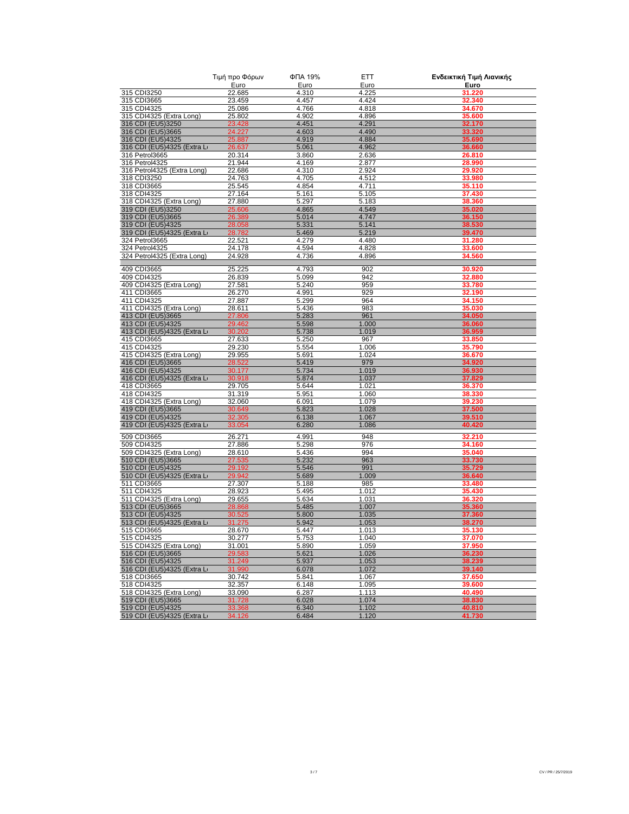|                                                  | Τιμή προ Φόρων   | ФПА 19%        | ETT            | Ενδεικτική Τιμή Λιανικής |
|--------------------------------------------------|------------------|----------------|----------------|--------------------------|
|                                                  | Euro             | Euro           | Euro           | Euro                     |
| 315 CDI3250                                      | 22.685           | 4.310          | 4.225          | 31.220                   |
| 315 CDI3665                                      | 23.459           | 4.457          | 4.424          | 32.340                   |
| 315 CDI4325                                      | 25.086           | 4.766<br>4.902 | 4.818<br>4.896 | 34.670                   |
| 315 CDI4325 (Extra Long)<br>316 CDI (EU5)3250    | 25.802<br>23.428 | 4.451          | 4.291          | 35.600<br>32.170         |
| 316 CDI (EU5)3665                                | 24.227           | 4.603          | 4.490          | 33.320                   |
| 316 CDI (EU5)4325                                | 25.887           | 4.919          | 4.884          | 35.690                   |
| 316 CDI (EU5)4325 (Extra Li                      | 26.637           | 5.061          | 4.962          | 36.660                   |
| 316 Petrol3665                                   | 20.314           | 3.860          | 2.636          | 26.810                   |
| 316 Petrol4325                                   | 21.944           | 4.169          | 2.877          | 28.990                   |
| 316 Petrol4325 (Extra Long)                      | 22.686           | 4.310          | 2.924          | 29.920                   |
| 318 CDI3250                                      | 24.763           | 4.705          | 4.512          | 33.980                   |
| 318 CDI3665                                      | 25.545           | 4.854          | 4.711          | 35.110                   |
| 318 CDI4325                                      | 27.164<br>27.880 | 5.161<br>5.297 | 5.105<br>5.183 | 37.430<br>38.360         |
| 318 CDI4325 (Extra Long)<br>319 CDI (EU5)3250    | 25.606           | 4.865          | 4.549          | 35.020                   |
| 319 CDI (EU5)3665                                | 26.389           | 5.014          | 4.747          | 36.150                   |
| 319 CDI (EU5)4325                                | 28.058           | 5.331          | 5.141          | 38.530                   |
| 319 CDI (EU5)4325 (Extra Li                      | 28.782           | 5.469          | 5.219          | 39.470                   |
| 324 Petrol3665                                   | 22.521           | 4.279          | 4.480          | 31.280                   |
| 324 Petrol4325                                   | 24.178           | 4.594          | 4.828          | 33.600                   |
| 324 Petrol4325 (Extra Long)                      | 24.928           | 4.736          | 4.896          | 34.560                   |
|                                                  |                  |                |                |                          |
| 409 CDI3665<br>409 CDI4325                       | 25.225           | 4.793          | 902<br>942     | 30.920                   |
| 409 CDI4325 (Extra Long)                         | 26.839<br>27.581 | 5.099<br>5.240 | 959            | 32.880<br>33.780         |
| 411 CDI3665                                      | 26.270           | 4.991          | 929            | 32.190                   |
| 411 CDI4325                                      | 27.887           | 5.299          | 964            | 34.150                   |
| 411 CDI4325 (Extra Long)                         | 28.611           | 5.436          | 983            | 35.030                   |
| 413 CDI (EU5)3665                                | 27.806           | 5.283          | 961            | 34.050                   |
| 413 CDI (EU5)4325                                | 29.462           | 5.598          | 1.000          | 36.060                   |
| 413 CDI (EU5)4325 (Extra Li                      | 30.202           | 5.738          | 1.019          | 36.959                   |
| 415 CDI3665                                      | 27.633           | 5.250          | 967            | 33.850                   |
| 415 CDI4325                                      | 29.230           | 5.554          | 1.006          | 35.790                   |
| 415 CDI4325 (Extra Long)                         | 29.955           | 5.691          | 1.024          | 36.670                   |
| 416 CDI (EU5)3665                                | 28.522           | 5.419          | 979            | 34.920                   |
| 416 CDI (EU5)4325                                | 30.177           | 5.734          | 1.019          | 36.930                   |
| 416 CDI (EU5)4325 (Extra Li<br>418 CDI3665       | 30.918<br>29.705 | 5.874<br>5.644 | 1.037<br>1.021 | 37.829<br>36.370         |
| 418 CDI4325                                      | 31.319           | 5.951          | 1.060          | 38.330                   |
| 418 CDI4325 (Extra Long)                         | 32.060           | 6.091          | 1.079          | 39.230                   |
| 419 CDI (EU5)3665                                | 30.649           | 5.823          | 1.028          | 37.500                   |
| 419 CDI (EU5)4325                                | 32.305           | 6.138          | 1.067          | 39.510                   |
| 419 CDI (EU5)4325 (Extra Li                      | 33.054           | 6.280          | 1.086          | 40.420                   |
| 509 CDI3665                                      | 26.271           | 4.991          | 948            | 32.210                   |
| 509 CDI4325                                      | 27.886           | 5.298          | 976            | 34.160                   |
| 509 CDI4325 (Extra Long)                         | 28.610           | 5.436          | 994            | 35.040                   |
| 510 CDI (EU5)3665                                | 27.535           | 5.232          | 963            | 33.730                   |
| 510 CDI (EU5)4325                                | 29.192           | 5.546          | 991            | 35.729                   |
| 510 CDI (EU5)4325 (Extra Lo                      | 29.942           | 5.689          | 1.009          | 36.640                   |
| 511 CDI3665                                      | 27.307           | 5.188          | 985            | 33.480                   |
| 511 CDI4325                                      | 28.923           | 5.495          | 1.012          | 35.430                   |
| 511 CDI4325 (Extra Long)                         | 29.655           | 5.634          | 1.031          | 36.320                   |
| 513 CDI (EU5)3665                                | 28.868           | 5.485          | 1.007          | 35.360                   |
| 513 CDI (EU5)4325                                | 30.525<br>31.275 | 5.800          | 1.035<br>1.053 | 37.360<br>38.270         |
| 513 CDI (EU5)4325 (Extra Li<br>515 CDI3665       | 28.670           | 5.942<br>5.447 | 1.013          | 35.130                   |
| 515 CDI4325                                      | 30.277           | 5.753          | 1.040          | 37.070                   |
| 515 CDI4325 (Extra Long)                         | 31.001           | 5.890          | 1.059          | 37.950                   |
| 516 CDI (EU5)3665                                | 29.583           | 5.621          | 1.026          | 36.230                   |
| 516 CDI (EU5)4325                                | 31.249           | 5.937          | 1.053          | 38.239                   |
| 516 CDI (EU5)4325 (Extra Li                      | 31.990           | 6.078          | 1.072          | 39.140                   |
| 518 CDI3665                                      | 30.742           | 5.841          | 1.067          | 37.650                   |
| 518 CDI4325                                      | 32.357           | 6.148          | 1.095          | 39.600                   |
| 518 CDI4325 (Extra Long)                         | 33.090           | 6.287          | 1.113          | 40.490                   |
| 519 CDI (EU5)3665                                | 31.728           | 6.028          | 1.074          | 38.830                   |
| 519 CDI (EU5)4325<br>519 CDI (EU5)4325 (Extra Li | 33.368           | 6.340          | 1.102          | 40.810                   |
|                                                  | 34.126           | 6.484          | 1.120          | 41.730                   |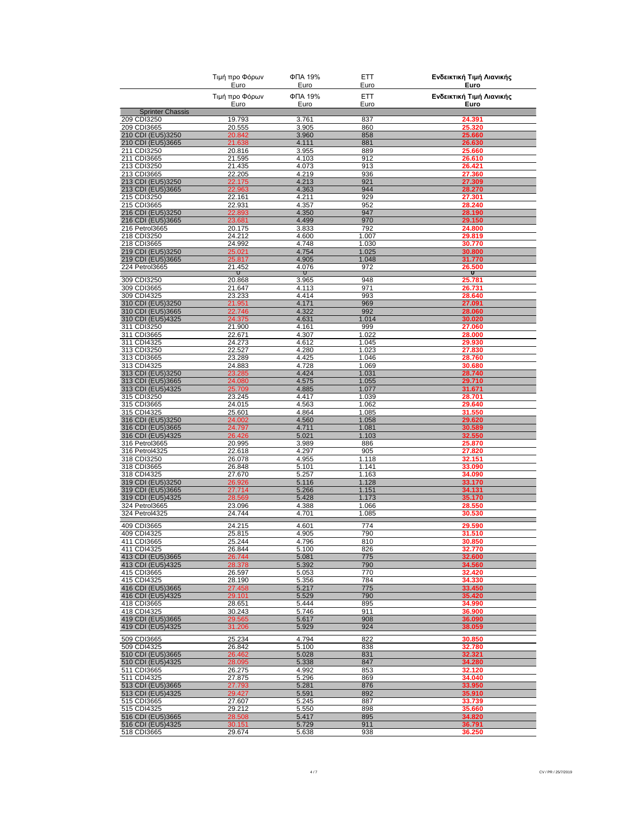|                                        | Τιμή προ Φόρων<br>Euro<br>Τιμή προ Φόρων<br>Euro | ФПА 19%<br>Euro<br>ФПА 19%<br>Euro | <b>ETT</b><br>Euro<br>ETT<br>Euro | Ενδεικτική Τιμή Λιανικής<br>Euro<br>Ενδεικτική Τιμή Λιανικής<br>Euro |
|----------------------------------------|--------------------------------------------------|------------------------------------|-----------------------------------|----------------------------------------------------------------------|
|                                        |                                                  |                                    |                                   |                                                                      |
| <b>Sprinter Chassis</b>                |                                                  |                                    |                                   |                                                                      |
| 209 CDI3250<br>209 CDI3665             | 19.793                                           | 3.761                              | 837                               | 24.391                                                               |
| 210 CDI (EU5)3250                      | 20.555<br>20.842                                 | 3.905<br>3.960                     | 860<br>858                        | 25.320<br>25.660                                                     |
| 210 CDI (EU5)3665                      | 21.638                                           | 4.111                              | 881                               | 26.630                                                               |
| 211 CDI3250                            | 20.816                                           | 3.955                              | 889                               | 25.660                                                               |
| 211 CDI3665<br>213 CDI3250             | 21.595<br>21.435                                 | 4.103<br>4.073                     | 912<br>913                        | 26.610<br>26.421                                                     |
| 213 CDI3665                            | 22.205                                           | 4.219                              | 936                               | 27.360                                                               |
| 213 CDI (EU5)3250                      | 22.175                                           | 4.213                              | 921                               | 27.309                                                               |
| 213 CDI (EU5)3665                      | 22.963                                           | 4.363                              | 944                               | 28.270                                                               |
| 215 CDI3250<br>215 CDI3665             | 22.161<br>22.931                                 | 4.211<br>4.357                     | 929<br>952                        | 27.301<br>28.240                                                     |
| 216 CDI (EU5)3250                      | 22.893                                           | 4.350                              | 947                               | 28.190                                                               |
| 216 CDI (EU5)3665                      | 23.681                                           | 4.499                              | 970                               | 29.150                                                               |
| 216 Petrol3665                         | 20.175                                           | 3.833                              | 792                               | 24.800                                                               |
| 218 CDI3250<br>218 CDI3665             | 24.212<br>24.992                                 | 4.600<br>4.748                     | 1.007<br>1.030                    | 29.819<br>30.770                                                     |
| 219 CDI (EU5)3250                      | 25.021                                           | 4.754                              | 1.025                             | 30.800                                                               |
| 219 CDI (EU5)3665                      | 25.817                                           | 4.905                              | 1.048                             | 31.770                                                               |
| 224 Petrol3665                         | 21.452<br>∪                                      | 4.076<br>U                         | 972                               | 26.500<br>U                                                          |
| 309 CDI3250                            | 20.868                                           | 3.965                              | 948                               | 25.781                                                               |
| 309 CDI3665                            | 21.647                                           | 4.113                              | 971                               | 26.731                                                               |
| 309 CDI4325                            | 23.233                                           | 4.414                              | 993                               | 28.640                                                               |
| 310 CDI (EU5)3250<br>310 CDI (EU5)3665 | 21.951<br>22.746                                 | 4.171<br>4.322                     | 969<br>992                        | 27.091<br>28.060                                                     |
| 310 CDI (EU5)4325                      | 24.375                                           | 4.631                              | 1.014                             | 30.020                                                               |
| 311 CDI3250                            | 21.900                                           | 4.161                              | 999                               | 27.060                                                               |
| 311 CDI3665                            | 22.671                                           | 4.307                              | 1.022                             | 28.000                                                               |
| 311 CDI4325                            | 24.273                                           | 4.612                              | 1.045                             | 29.930                                                               |
| 313 CDI3250<br>313 CDI3665             | 22.527<br>23.289                                 | 4.280<br>4.425                     | 1.023<br>1.046                    | 27.830<br>28.760                                                     |
| 313 CDI4325                            | 24.883                                           | 4.728                              | 1.069                             | 30.680                                                               |
| 313 CDI (EU5)3250                      | 23.285                                           | 4.424                              | 1.031                             | 28.740                                                               |
| 313 CDI (EU5)3665                      | 24.080                                           | 4.575                              | 1.055                             | 29.710                                                               |
| 313 CDI (EU5)4325<br>315 CDI3250       | 25.709<br>23.245                                 | 4.885<br>4.417                     | 1.077<br>1.039                    | 31.671<br>28.701                                                     |
| 315 CDI3665                            | 24.015                                           | 4.563                              | 1.062                             | 29.640                                                               |
| 315 CDI4325                            | 25.601                                           | 4.864                              | 1.085                             | 31.550                                                               |
| 316 CDI (EU5)3250                      | 24.002                                           | 4.560                              | 1.058                             | 29.620                                                               |
| 316 CDI (EU5)3665                      | 24.797                                           | 4.711                              | 1.081                             | 30.589                                                               |
| 316 CDI (EU5)4325<br>316 Petrol3665    | 26.426<br>20.995                                 | 5.021<br>3.989                     | 1.103<br>886                      | 32.550<br>25.870                                                     |
| 316 Petrol4325                         | 22.618                                           | 4.297                              | 905                               | 27.820                                                               |
| 318 CDI3250                            | 26.078                                           | 4.955                              | 1.118                             | 32.151                                                               |
| 318 CDI3665<br>318 CDI4325             | 26.848                                           | 5.101                              | 1.141                             | 33.090                                                               |
| 319 CDI (EU5)3250                      | 27.670<br>26.926                                 | 5.257<br>5.116                     | 1.163<br>1.128                    | 34.090<br>33.170                                                     |
| 319 CDI (EU5)3665                      | 27.714                                           | 5.266                              | 1.151                             | 34.131                                                               |
| 319 CDI (EU5)4325                      | 28.569                                           | 5.428                              | 1.173                             | 35.170                                                               |
| 324 Petrol3665                         | 23.096<br>24.744                                 | 4.388                              | 1.066                             | 28.550                                                               |
| 324 Petrol4325                         |                                                  | 4.701                              | 1.085                             | 30.530                                                               |
| 409 CDI3665                            | 24.215                                           | 4.601                              | 774                               | 29.590                                                               |
| 409 CDI4325<br>411 CDI3665             | 25.815<br>25.244                                 | 4.905<br>4.796                     | 790<br>810                        | 31.31U<br>30.850                                                     |
| 411 CDI4325                            | 26.844                                           | 5.100                              | 826                               | 32.770                                                               |
| 413 CDI (EU5)3665                      | 26.744                                           | 5.081                              | 775                               | 32.600                                                               |
| 413 CDI (EU5)4325                      | 28.378                                           | 5.392                              | 790                               | 34.560                                                               |
| 415 CDI3665<br>415 CDI4325             | 26.597<br>28.190                                 | 5.053<br>5.356                     | 770<br>784                        | 32.420<br>34.330                                                     |
| 416 CDI (EU5)3665                      | 27.458                                           | 5.217                              | 775                               | 33.450                                                               |
| 416 CDI (EU5)4325                      | 29.101                                           | 5.529                              | 790                               | 35.420                                                               |
| 418 CDI3665                            | 28.651                                           | 5.444                              | 895                               | 34.990                                                               |
| 418 CDI4325<br>419 CDI (EU5)3665       | 30.243<br>29.565                                 | 5.746<br>5.617                     | 911<br>908                        | 36.900<br>36.090                                                     |
| 419 CDI (EU5)4325                      | 31.206                                           | 5.929                              | 924                               | 38.059                                                               |
| 509 CDI3665                            | 25.234                                           | 4.794                              | 822                               |                                                                      |
| 509 CDI4325                            | 26.842                                           | 5.100                              | 838                               | 30.850<br>32.780                                                     |
| 510 CDI (EU5)3665                      | 26.462                                           | 5.028                              | 831                               | 32.321                                                               |
| 510 CDI (EU5)4325                      | 28.095                                           | 5.338                              | 847                               | 34.280                                                               |
| 511 CDI3665                            | 26.275                                           | 4.992                              | 853                               | 32.120                                                               |
| 511 CDI4325<br>513 CDI (EU5)3665       | 27.875<br>27.793                                 | 5.296<br>5.281                     | 869<br>876                        | 34.040<br>33.950                                                     |
| 513 CDI (EU5)4325                      | 29.427                                           | 5.591                              | 892                               | 35.910                                                               |
| 515 CDI3665                            | 27.607                                           | 5.245                              | 887                               | 33.739                                                               |
| 515 CDI4325                            | 29.212                                           | 5.550                              | 898                               | 35.660                                                               |
| 516 CDI (EU5)3665                      | 28.508                                           | 5.417                              | 895<br>911                        | 34.820                                                               |
| 516 CDI (EU5)4325<br>518 CDI3665       | 30.151<br>29.674                                 | 5.729<br>5.638                     | 938                               | 36.791<br>36.250                                                     |
|                                        |                                                  |                                    |                                   |                                                                      |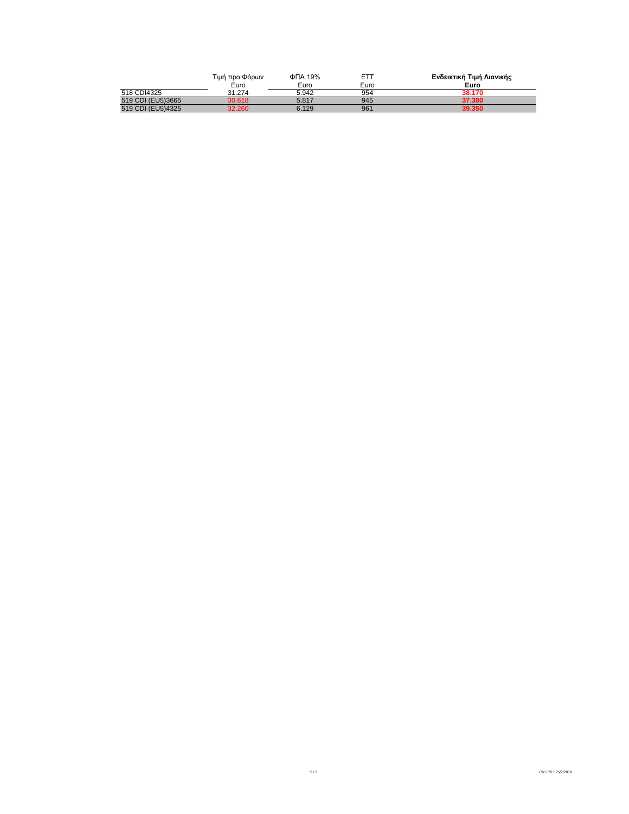|                   | Τιμή προ Φόρων | ФПА 19% | <b>ETT</b> | Ενδεικτική Τιμή Λιανικής |
|-------------------|----------------|---------|------------|--------------------------|
|                   | Euro           | Euro    | Euro       | Euro                     |
| 518 CDI4325       | 31.274         | 5.942   | 954        | 38.170                   |
| 519 CDI (EU5)3665 | 30.618         | 5.817   | 945        | 37.380                   |
| 519 CDI (EU5)4325 | 32.260         | 6.129   | 961        | 39.350                   |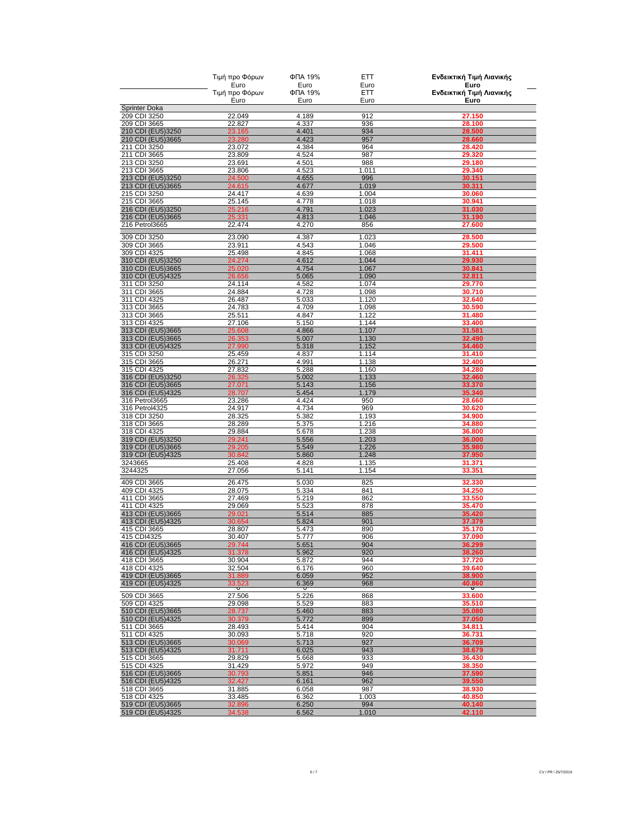|                                        | Τιμή προ Φόρων         | ФПА 19%         | <b>ETT</b>     | Ενδεικτική Τιμή Λιανικής         |
|----------------------------------------|------------------------|-----------------|----------------|----------------------------------|
|                                        | Euro<br>Τιμή προ Φόρων | Euro<br>ФПА 19% | Euro<br>ETT    | Euro<br>Ενδεικτική Τιμή Λιανικής |
|                                        | Euro                   | Euro            | Euro           | Euro                             |
| <b>Sprinter Doka</b>                   |                        |                 |                |                                  |
| 209 CDI 3250<br>209 CDI 3665           | 22.049<br>22.827       | 4.189<br>4.337  | 912<br>936     | 27.150<br>28.100                 |
| 210 CDI (EU5)3250                      | 23.165                 | 4.401           | 934            | 28.500                           |
| 210 CDI (EU5)3665                      | 23.280                 | 4.423           | 957            | 28.660                           |
| 211 CDI 3250                           | 23.072                 | 4.384           | 964            | 28.420                           |
| 211 CDI 3665                           | 23.809                 | 4.524           | 987            | 29.320                           |
| 213 CDI 3250<br>213 CDI 3665           | 23.691<br>23.806       | 4.501<br>4.523  | 988<br>1.011   | 29.180<br>29.340                 |
| 213 CDI (EU5)3250                      | 24.500                 | 4.655           | 996            | 30.151                           |
| 213 CDI (EU5)3665                      | 24.615                 | 4.677           | 1.019          | 30.311                           |
| 215 CDI 3250                           | 24.417                 | 4.639           | 1.004          | 30.060                           |
| 215 CDI 3665<br>216 CDI (EU5)3250      | 25.145<br>25.216       | 4.778<br>4.791  | 1.018<br>1.023 | 30.941<br>31.030                 |
| 216 CDI (EU5)3665                      | 25.331                 | 4.813           | 1.046          | 31.190                           |
| 216 Petrol3665                         | 22.474                 | 4.270           | 856            | 27.600                           |
| 309 CDI 3250                           | 23.090                 | 4.387           | 1.023          | 28.500                           |
| 309 CDI 3665                           | 23.911                 | 4.543           | 1.046          | 29.500                           |
| 309 CDI 4325                           | 25.498                 | 4.845           | 1.068          | 31.411                           |
| 310 CDI (EU5)3250                      | 24.274                 | 4.612           | 1.044          | 29.930                           |
| 310 CDI (EU5)3665<br>310 CDI (EU5)4325 | 25.020<br>26.656       | 4.754<br>5.065  | 1.067<br>1.090 | 30.841<br>32.811                 |
| 311 CDI 3250                           | 24.114                 | 4.582           | 1.074          | 29.770                           |
| 311 CDI 3665                           | 24.884                 | 4.728           | 1.098          | 30.710                           |
| 311 CDI 4325                           | 26.487                 | 5.033           | 1.120          | 32.640                           |
| 313 CDI 3665<br>313 CDI 3665           | 24.783                 | 4.709<br>4.847  | 1.098          | 30.590                           |
| 313 CDI 4325                           | 25.511<br>27.106       | 5.150           | 1.122<br>1.144 | 31.480<br>33.400                 |
| 313 CDI (EU5)3665                      | 25.608                 | 4.866           | 1.107          | 31.581                           |
| 313 CDI (EU5)3665                      | 26.353                 | 5.007           | 1.130          | 32.490                           |
| 313 CDI (EU5)4325                      | 27.990                 | 5.318           | 1.152          | 34.460                           |
| 315 CDI 3250<br>315 CDI 3665           | 25.459<br>26.271       | 4.837<br>4.991  | 1.114<br>1.138 | 31.410<br>32.400                 |
| 315 CDI 4325                           | 27.832                 | 5.288           | 1.160          | 34.280                           |
| 316 CDI (EU5)3250                      | 26.325                 | 5.002           | 1.133          | 32.460                           |
| 316 CDI (EU5)3665                      | 27.071                 | 5.143           | 1.156          | 33.370                           |
| 316 CDI (EU5)4325                      | 28.707                 | 5.454           | 1.179          | 35.340                           |
| 316 Petrol3665<br>316 Petrol4325       | 23.286<br>24.917       | 4.424<br>4.734  | 950<br>969     | 28.660<br>30.620                 |
| 318 CDI 3250                           | 28.325                 | 5.382           | 1.193          | 34.900                           |
| 318 CDI 3665                           | 28.289                 | 5.375           | 1.216          | 34.880                           |
| 318 CDI 4325                           | 29.884                 | 5.678           | 1.238          | 36.800                           |
| 319 CDI (EU5)3250<br>319 CDI (EU5)3665 | 29.241<br>29.205       | 5.556<br>5.549  | 1.203<br>1.226 | 36.000<br>35.980                 |
| 319 CDI (EU5)4325                      | 30.842                 | 5.860           | 1.248          | 37.950                           |
| 3243665                                | 25.408                 | 4.828           | 1.135          | 31.371                           |
| 3244325                                | 27.056                 | 5.141           | 1.154          | 33.351                           |
| 409 CDI 3665                           | 26.475                 | 5.030           | 825            | 32.330                           |
| 409 CDI 4325                           | 28.075                 | 5.334           | 841            | 34.250                           |
| 411 CDI 3665                           | 27.469                 | 5.219           | 862            | 33.550                           |
| 411 CDI 4325<br>413 CDI (EU5)3665      | 29.069<br>29.021       | 5.523<br>5.514  | 878<br>885     | 35.470<br>35.420                 |
| 413 CDI (EU5)4325                      | 30.654                 | 5.824           | 901            | 37.379                           |
| 415 CDI 3665                           | 28.807                 | 5.473           | 890            | 35.170                           |
| 415 CDI4325                            | 30.407                 | 5.777           | 906            | 37.090                           |
| 416 CDI (EU5)3665<br>416 CDI (EU5)4325 | 29.744<br>31.378       | 5.651<br>5.962  | 904<br>920     | 36.299<br>38.260                 |
| 418 CDI 3665                           | 30.904                 | 5.872           | 944            | 37.720                           |
| 418 CDI 4325                           | 32.504                 | 6.176           | 960            | 39.640                           |
| 419 CDI (EU5)3665                      | 31.889                 | 6.059           | 952            | 38.900                           |
| 419 CDI (EU5)4325                      | 33.523                 | 6.369           | 968            | 40.860                           |
| 509 CDI 3665                           | 27.506                 | 5.226           | 868            | 33.600                           |
| 509 CDI 4325                           | 29.098                 | 5.529           | 883            | 35.510                           |
| 510 CDI (EU5)3665<br>510 CDI (EU5)4325 | 28.737<br>30.379       | 5.460<br>5.772  | 883<br>899     | 35.080<br>37.050                 |
| 511 CDI 3665                           | 28.493                 | 5.414           | 904            | 34.811                           |
| 511 CDI 4325                           | 30.093                 | 5.718           | 920            | 36.731                           |
| 513 CDI (EU5)3665                      | 30.069                 | 5.713           | 927            | 36.709                           |
| 513 CDI (EU5)4325                      | 31.711                 | 6.025           | 943            | 38.679                           |
| 515 CDI 3665<br>515 CDI 4325           | 29.829<br>31.429       | 5.668<br>5.972  | 933<br>949     | 36.430<br>38.350                 |
| 516 CDI (EU5)3665                      | 30.793                 | 5.851           | 946            | 37.590                           |
| 516 CDI (EU5)4325                      | 32.427                 | 6.161           | 962            | 39.550                           |
| 518 CDI 3665                           | 31.885                 | 6.058           | 987            | 38.930                           |
| 518 CDI 4325<br>519 CDI (EU5)3665      | 33.485<br>32.896       | 6.362<br>6.250  | 1.003<br>994   | 40.850<br>40.140                 |
| 519 CDI (EU5)4325                      | 34.538                 | 6.562           | 1.010          | 42.110                           |